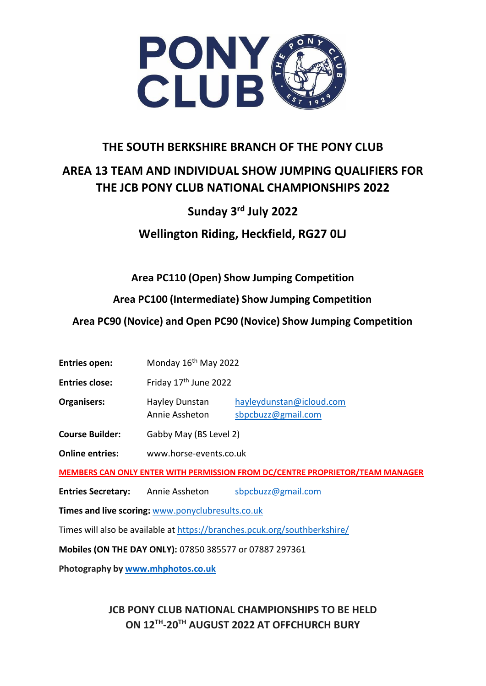

## **THE SOUTH BERKSHIRE BRANCH OF THE PONY CLUB**

# **AREA 13 TEAM AND INDIVIDUAL SHOW JUMPING QUALIFIERS FOR THE JCB PONY CLUB NATIONAL CHAMPIONSHIPS 2022**

# **Sunday 3 rd July 2022**

**Wellington Riding, Heckfield, RG27 0LJ**

**Area PC110 (Open) Show Jumping Competition**

**Area PC100 (Intermediate) Show Jumping Competition**

**Area PC90 (Novice) and Open PC90 (Novice) Show Jumping Competition**

**Entries open:** Monday 16<sup>th</sup> May 2022

**Entries close:** Friday 17<sup>th</sup> June 2022

**Organisers:** Hayley Dunstan [hayleydunstan@icloud.com](mailto:hayleydunstan@icloud.com) Annie Assheton [sbpcbuzz@gmail.com](mailto:sbpcbuzz@gmail.com)

**Course Builder:** Gabby May (BS Level 2)

**Online entries:** [www.horse-events.co.uk](http://www.horse-events.co.uk/)

**MEMBERS CAN ONLY ENTER WITH PERMISSION FROM DC/CENTRE PROPRIETOR/TEAM MANAGER**

**Entries Secretary:** Annie Assheton [sbpcbuzz@gmail.com](mailto:sbpcbuzz@gmail.com)

**Times and live scoring:** [www.ponyclubresults.co.uk](http://www.ponyclubresults.co.uk/)

Times will also be available at <https://branches.pcuk.org/southberkshire/>

**Mobiles (ON THE DAY ONLY):** 07850 385577 or 07887 297361

**Photography by [www.mhphotos.co.uk](http://www.mhphotos.co.uk/)**

## **JCB PONY CLUB NATIONAL CHAMPIONSHIPS TO BE HELD ON 12TH -20TH AUGUST 2022 AT OFFCHURCH BURY**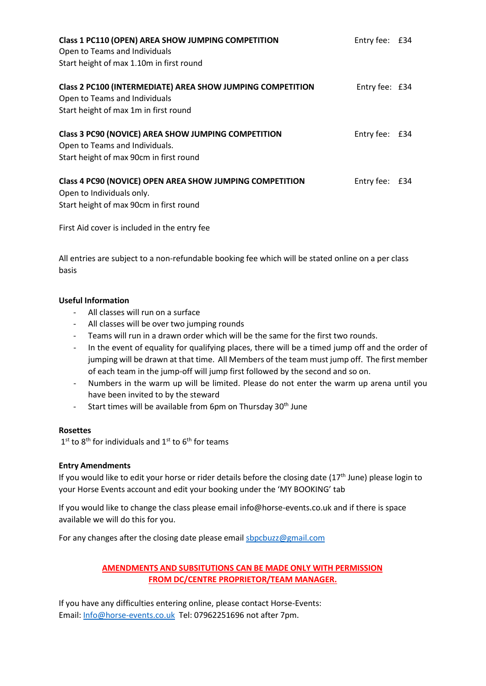| Class 1 PC110 (OPEN) AREA SHOW JUMPING COMPETITION<br>Open to Teams and Individuals | Entry fee: £34 |  |
|-------------------------------------------------------------------------------------|----------------|--|
| Start height of max 1.10m in first round                                            |                |  |
| Class 2 PC100 (INTERMEDIATE) AREA SHOW JUMPING COMPETITION                          | Entry fee: £34 |  |
| Open to Teams and Individuals                                                       |                |  |
| Start height of max 1m in first round                                               |                |  |
| Class 3 PC90 (NOVICE) AREA SHOW JUMPING COMPETITION                                 | Entry fee: £34 |  |
| Open to Teams and Individuals.                                                      |                |  |
| Start height of max 90cm in first round                                             |                |  |
| Class 4 PC90 (NOVICE) OPEN AREA SHOW JUMPING COMPETITION                            | Entry fee: £34 |  |
| Open to Individuals only.                                                           |                |  |
| Start height of max 90cm in first round                                             |                |  |

First Aid cover is included in the entry fee

All entries are subject to a non-refundable booking fee which will be stated online on a per class basis

#### **Useful Information**

- All classes will run on a surface
- All classes will be over two jumping rounds
- Teams will run in a drawn order which will be the same for the first two rounds.
- In the event of equality for qualifying places, there will be a timed jump off and the order of jumping will be drawn at that time. All Members of the team must jump off. The first member of each team in the jump-off will jump first followed by the second and so on.
- Numbers in the warm up will be limited. Please do not enter the warm up arena until you have been invited to by the steward
- Start times will be available from 6pm on Thursday  $30<sup>th</sup>$  June

#### **Rosettes**

 $1<sup>st</sup>$  to 8<sup>th</sup> for individuals and  $1<sup>st</sup>$  to 6<sup>th</sup> for teams

#### **Entry Amendments**

If you would like to edit your horse or rider details before the closing date  $(17<sup>th</sup>$  June) please login to your Horse Events account and edit your booking under the 'MY BOOKING' tab

If you would like to change the class please email [info@horse-events.co.uk a](mailto:info@horse-events.co.uk)nd if there is space available we will do this for you.

For any changes after the closing date please emai[l sbpcbuzz@gmail.com](mailto:sbpcbuzz@gmail.com)

#### **AMENDMENTS AND SUBSITUTIONS CAN BE MADE ONLY WITH PERMISSION FROM DC/CENTRE PROPRIETOR/TEAM MANAGER.**

If you have any difficulties entering online, please contact Horse-Events: Email: [Info@horse-events.co.uk](mailto:Info@horse-events.co.uk) Tel: 07962251696 not after 7pm.